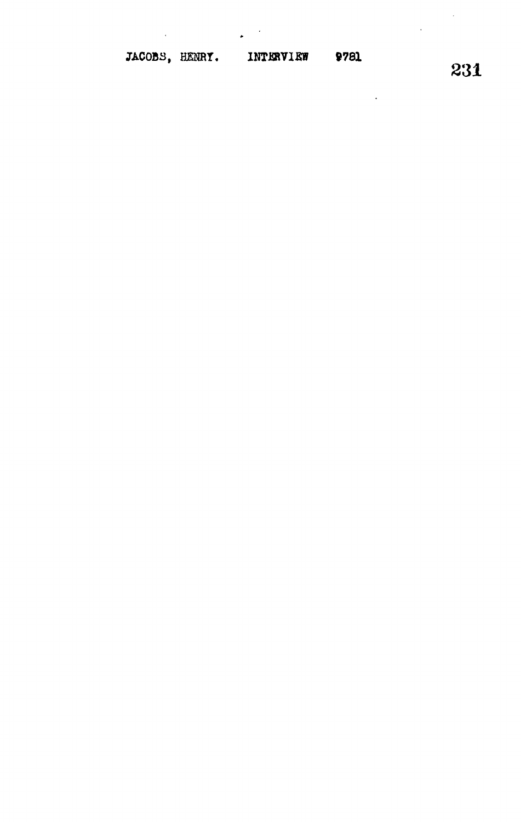231

 $\mathcal{A}^{\mathcal{A}}$ 

l,

 $\ddot{\phantom{a}}$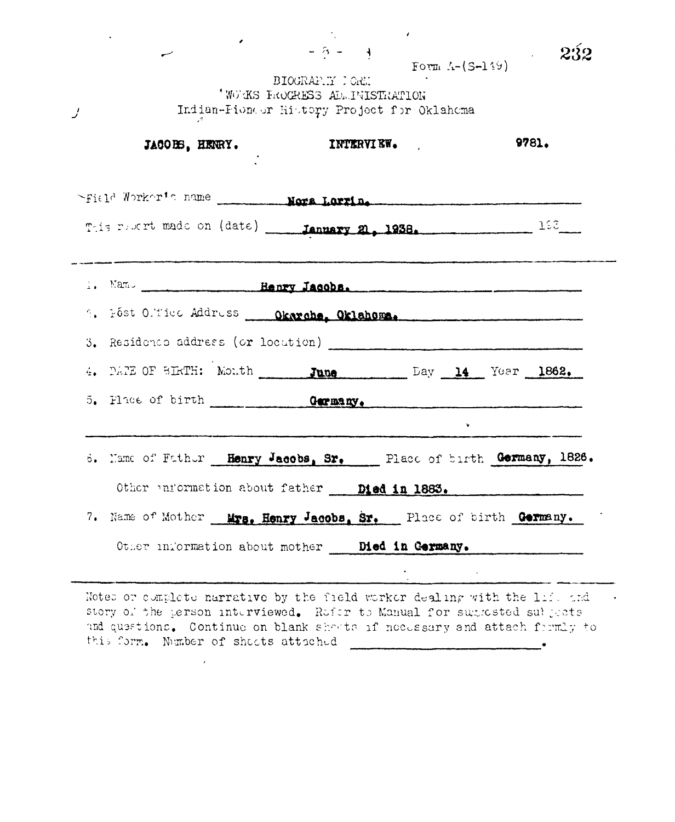|                                                                               | $-3 - 1$<br>BIOGRAP.Y I ORK<br>WORKS FROGRESS ALL INISTRATION<br>Indian-Fione or History Project for Oklahoma |  | Form $\Lambda_{-}(S-119)$ | 929   |
|-------------------------------------------------------------------------------|---------------------------------------------------------------------------------------------------------------|--|---------------------------|-------|
| JACOBS, HENRY.                                                                | INTERVIEW.                                                                                                    |  |                           | 9781. |
|                                                                               |                                                                                                               |  |                           |       |
|                                                                               |                                                                                                               |  |                           |       |
| 1. Nam. Renry Jacobs. Mannesota and the manner of the Mannesota Benry Jacobs. |                                                                                                               |  |                           |       |
| 9. Fóst Office Address __ Okarche, Oklahoma.                                  |                                                                                                               |  |                           |       |
|                                                                               |                                                                                                               |  |                           |       |
|                                                                               |                                                                                                               |  |                           |       |
| 5. Place of birth <b>Germany</b> .                                            |                                                                                                               |  |                           |       |
|                                                                               |                                                                                                               |  | $\bullet$                 |       |
| 6. Mame of Father Henry Jacobs, Sr. Place of birth Germany, 1826.             |                                                                                                               |  |                           |       |
| Other information about father __ Died in 1883.                               |                                                                                                               |  |                           |       |
| 7. Name of Mother Mrs. Henry Jacobs, Sr. Place of birth Germany.              |                                                                                                               |  |                           |       |
| Other information about mother <b>Died in Cermany.</b>                        |                                                                                                               |  |                           |       |
|                                                                               |                                                                                                               |  |                           |       |

Notes or complete narrative by the field worker dealing with the life and  $\sim$   $\sim$ story of the person interviewed. Refer to Manual for surrested subjects and questions. Continue on blank shorts if necessary and attach firmly to this form. Number of shoots attached  $\overline{\phantom{a}}$ 

 $\overline{ }$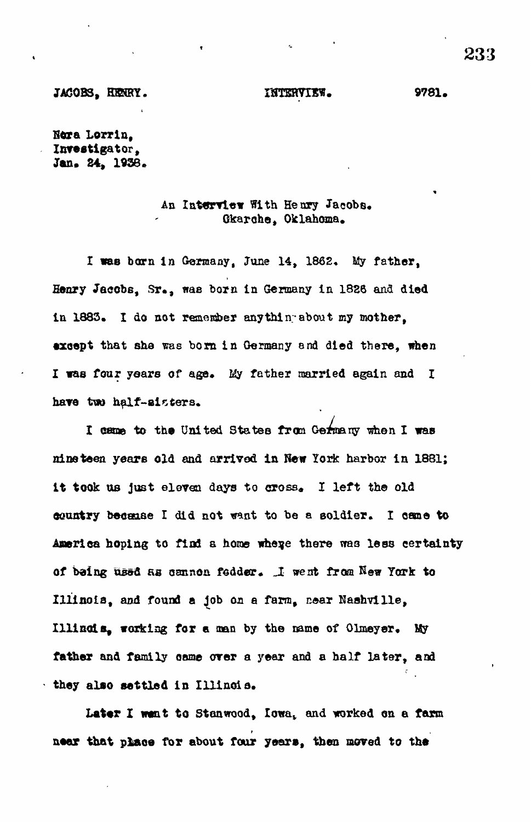**JACOBS, HENRY. ZHTEHVIEW.** 9781.

**Nora Lorrin. Investigator, Jan. 24, 1936.**

## **An Interview With Henry Jacobs. Gkarche, Oklahoma.**

**I was born in Germany, June 14, 1862, My father,** Henry Jacobs, Sr., was born in Germany in 1826 and died in 1883. I do not remember anythin about my mother, **except that sha was born in Germany and died there, when I was four years of aga» My father married again and I have** *tm* **half-aisters.**

I canne to the United States from Germany when I was **nineteen years old and arrived In Hew York harbor in 1881;** it took us just eleven days to cross. I left the old **eountry because I did not want to be a soldier, I came to** America hoping to find a home where there was less certainty **of being used as cannon fedder\* J" went from Hew York to Illinois, and found a Job on a farm, near Haahvllle, Illinois, working for a man by the name of Olmeyer, My father and family came over a year and a half later, and they also settled in Illinois.**

Later I want to Stanwood, Iowa, and worked on a farm near that place for about four years, then moved to the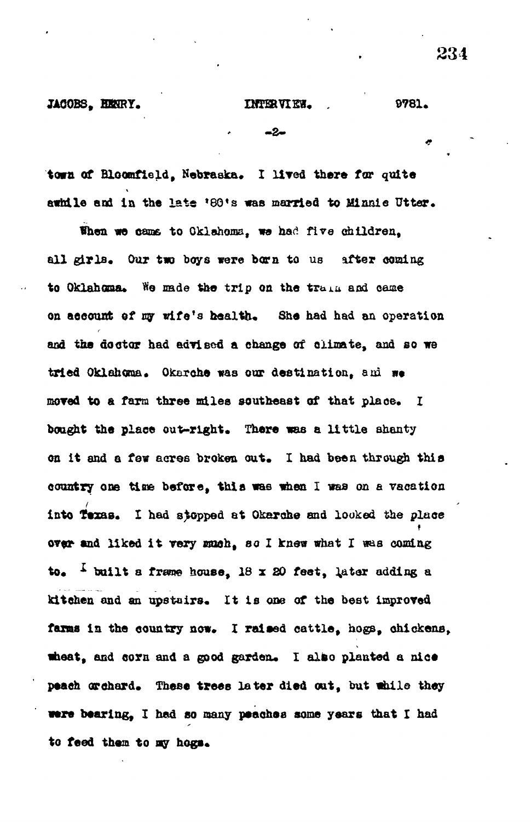JACOBS, HENRY. **INTERVIEK, 8781.** 9781.

-2-

**town of Bloomfleld, Nebraska, I liTed there far quite awhile and in the late \*8G's was married to Minnie Utter,**

**When we cams to Oklahoma, we had fire children,** all girls. Our two boys were born to us after coming to Oklahoma. We made the trip on the train and came on account of my wife's health. She had had an operation **and the doctor had advised a change of climate, and so we tried Oklahoma, Okarche was our destination, am n«** moved to a farm three miles southeast of that place. I **bought the place out-right. There was a little shanty** on it and a few acres broken out. I had been through this country one time before, this was when I was on a vacation into **Texas.** I had sjopped at Okarche and looked the place **f over and liked it very much, so I knew what I was coming to\*** *^* **built a fraoe house, 18 x** *20* **feet, \ator adding a** kitchen and an upstairs. It is one of the best improved farms in the country now. I raised cattle, hogs, chickens, wheat, and corn and a good garden. I also planted a nice peach orchard. These trees later died out, but while they **were bearing, I had so many peaches some years that I had** to feed them to my hogs.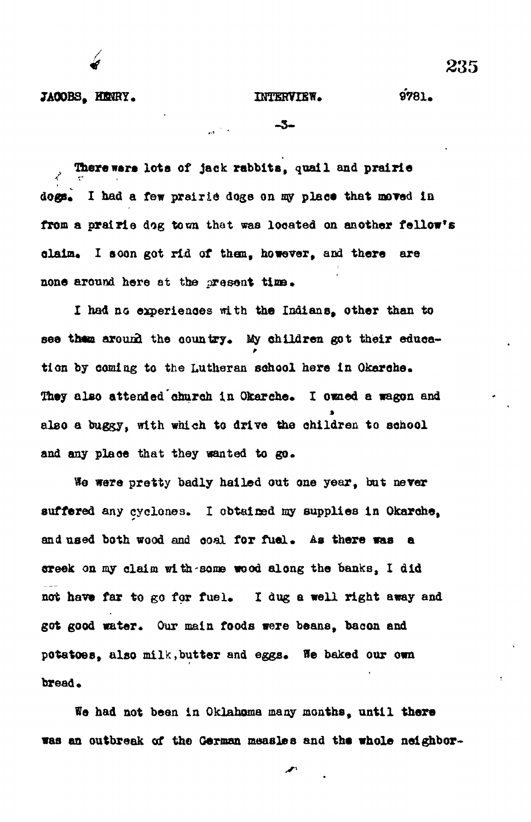JACOBS, HENRY. DET DESCRIPTIONS OF A LATER WITH THE RESERVE AND STRIPS OF A LATER OF A LATER OF A LATER OF A LA

**- 3 -**

*<sup>&</sup>gt;* **There war\* lots of jack rabbits, quail and prairi e** dogs. I had a few prairie doge on my place that moved in **from a prairi e dog town that was located on another fellow's** claim. I soon got rid of them, however, and there are none around here at the present time.

 $\mathbf{a}$ 

**I had no experiences with the Indians, other than to** see them around the country. My children got their education by coming to the Lutheran school here in Okarche. They also attended church in Okarche. I owned a wagon and also a buggy, with which to drive the children to school and any place that they wanted to go.

**We were prett y badly hailed out one year , but never** suffered any cyclones. I obtained my supplies in Okarche, and used both wood and coal for fuel. As there was a **creek on my claim with-some wood along the banks, I did not have far to go for fuel . I dug a well right away and** got good water. Our main foods were beans, bacon and potatoes, also milk, butter and eggs. We baked our own bread.

We had not been in Oklahoma many months, until there was an outbreak of the German measles and the whole neighbor-

 $\bullet$  235